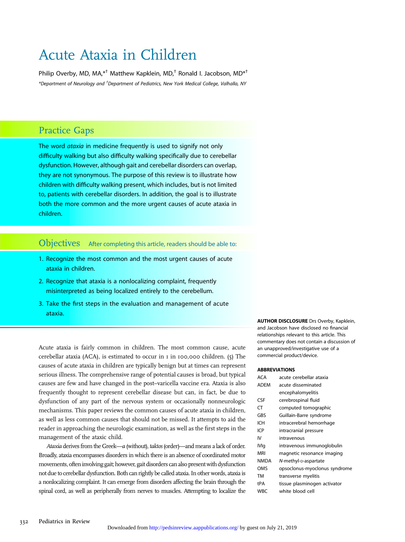# Acute Ataxia in Children

Philip Overby, MD, MA, $*$ <sup>†</sup> Matthew Kapklein, MD,<sup>†</sup> Ronald I. Jacobson, MD $*$ <sup>†</sup> \*Department of Neurology and † Department of Pediatrics, New York Medical College, Valhalla, NY

# Practice Gaps

The word *ataxia* in medicine frequently is used to signify not only difficulty walking but also difficulty walking specifically due to cerebellar dysfunction. However, although gait and cerebellar disorders can overlap, they are not synonymous. The purpose of this review is to illustrate how children with difficulty walking present, which includes, but is not limited to, patients with cerebellar disorders. In addition, the goal is to illustrate both the more common and the more urgent causes of acute ataxia in children.

Objectives After completing this article, readers should be able to:

- 1. Recognize the most common and the most urgent causes of acute ataxia in children.
- 2. Recognize that ataxia is a nonlocalizing complaint, frequently misinterpreted as being localized entirely to the cerebellum.
- 3. Take the first steps in the evaluation and management of acute ataxia.

Acute ataxia is fairly common in children. The most common cause, acute cerebellar ataxia (ACA), is estimated to occur in 1 in 100,000 children. (5) The causes of acute ataxia in children are typically benign but at times can represent serious illness. The comprehensive range of potential causes is broad, but typical causes are few and have changed in the post–varicella vaccine era. Ataxia is also frequently thought to represent cerebellar disease but can, in fact, be due to dysfunction of any part of the nervous system or occasionally nonneurologic mechanisms. This paper reviews the common causes of acute ataxia in children, as well as less common causes that should not be missed. It attempts to aid the reader in approaching the neurologic examination, as well as the first steps in the management of the ataxic child.

Ataxia derives from the Greek—a (without), taktos (order)—and means a lack of order. Broadly, ataxia encompasses disorders in which there is an absence of coordinated motor movements, ofteninvolving gait; however, gait disorders can also presentwith dysfunction not due to cerebellar dysfunction. Both can rightly be called ataxia. In other words, ataxia is a nonlocalizing complaint. It can emerge from disorders affecting the brain through the spinal cord, as well as peripherally from nerves to muscles. Attempting to localize the

AUTHOR DISCLOSURE Drs Overby, Kapklein, and Jacobson have disclosed no financial relationships relevant to this article. This commentary does not contain a discussion of an unapproved/investigative use of a commercial product/device.

#### ABBREVIATIONS

| <b>ACA</b>  | acute cerebellar ataxia       |
|-------------|-------------------------------|
| <b>ADEM</b> | acute disseminated            |
|             | encephalomyelitis             |
| <b>CSF</b>  | cerebrospinal fluid           |
| CT          | computed tomographic          |
| GBS         | Guillain-Barre syndrome       |
| ICH         | intracerebral hemorrhage      |
| ICP         | intracranial pressure         |
| IV          | intravenous                   |
| <b>IVIg</b> | intravenous immunoglobulin    |
| MRI         | magnetic resonance imaging    |
| <b>NMDA</b> | N-methyl-p-aspartate          |
| OMS         | opsoclonus-myoclonus syndrome |
| TM          | transverse myelitis           |
| tPA         | tissue plasminogen activator  |
| WBC         | white blood cell              |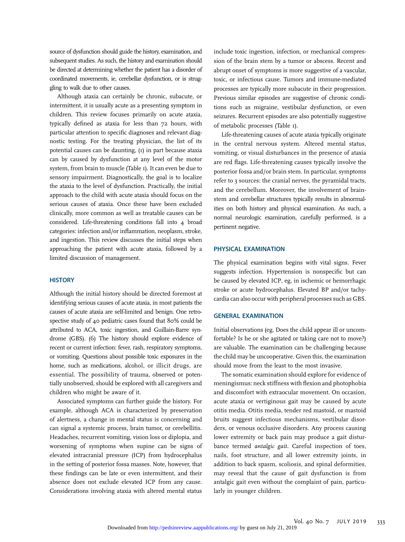source of dysfunction should guide the history, examination, and subsequent studies. As such, the history and examination should be directed at determining whether the patient has a disorder of coordinated movements, ie, cerebellar dysfunction, or is struggling to walk due to other causes.

Although ataxia can certainly be chronic, subacute, or intermittent, it is usually acute as a presenting symptom in children. This review focuses primarily on acute ataxia, typically defined as ataxia for less than 72 hours, with particular attention to specific diagnoses and relevant diagnostic testing. For the treating physician, the list of its potential causes can be daunting, (1) in part because ataxia can by caused by dysfunction at any level of the motor system, from brain to muscle (Table 1). It can even be due to sensory impairment. Diagnostically, the goal is to localize the ataxia to the level of dysfunction. Practically, the initial approach to the child with acute ataxia should focus on the serious causes of ataxia. Once these have been excluded clinically, more common as well as treatable causes can be considered. Life-threatening conditions fall into 4 broad categories: infection and/or inflammation, neoplasm, stroke, and ingestion. This review discusses the initial steps when approaching the patient with acute ataxia, followed by a limited discussion of management.

## **HISTORY**

Although the initial history should be directed foremost at identifying serious causes of acute ataxia, in most patients the causes of acute ataxia are self-limited and benign. One retrospective study of 40 pediatric cases found that 80% could be attributed to ACA, toxic ingestion, and Guillain-Barre syndrome (GBS). (6) The history should explore evidence of recent or current infection: fever, rash, respiratory symptoms, or vomiting. Questions about possible toxic exposures in the home, such as medications, alcohol, or illicit drugs, are essential. The possibility of trauma, observed or potentially unobserved, should be explored with all caregivers and children who might be aware of it.

Associated symptoms can further guide the history. For example, although ACA is characterized by preservation of alertness, a change in mental status is concerning and can signal a systemic process, brain tumor, or cerebellitis. Headaches, recurrent vomiting, vision loss or diplopia, and worsening of symptoms when supine can be signs of elevated intracranial pressure (ICP) from hydrocephalus in the setting of posterior fossa masses. Note, however, that these findings can be late or even intermittent, and their absence does not exclude elevated ICP from any cause. Considerations involving ataxia with altered mental status

include toxic ingestion, infection, or mechanical compression of the brain stem by a tumor or abscess. Recent and abrupt onset of symptoms is more suggestive of a vascular, toxic, or infectious cause. Tumors and immune-mediated processes are typically more subacute in their progression. Previous similar episodes are suggestive of chronic conditions such as migraine, vestibular dysfunction, or even seizures. Recurrent episodes are also potentially suggestive of metabolic processes (Table 1).

Life-threatening causes of acute ataxia typically originate in the central nervous system. Altered mental status, vomiting, or visual disturbances in the presence of ataxia are red flags. Life-threatening causes typically involve the posterior fossa and/or brain stem. In particular, symptoms refer to 3 sources: the cranial nerves, the pyramidal tracts, and the cerebellum. Moreover, the involvement of brainstem and cerebellar structures typically results in abnormalities on both history and physical examination. As such, a normal neurologic examination, carefully performed, is a pertinent negative.

#### PHYSICAL EXAMINATION

The physical examination begins with vital signs. Fever suggests infection. Hypertension is nonspecific but can be caused by elevated ICP, eg, in ischemic or hemorrhagic stroke or acute hydrocephalus. Elevated BP and/or tachycardia can also occur with peripheral processes such as GBS.

## GENERAL EXAMINATION

Initial observations (eg, Does the child appear ill or uncomfortable? Is he or she agitated or taking care not to move?) are valuable. The examination can be challenging because the child may be uncooperative. Given this, the examination should move from the least to the most invasive.

The somatic examination should explore for evidence of meningismus: neck stiffness with flexion and photophobia and discomfort with extraocular movement. On occasion, acute ataxia or vertiginous gait may be caused by acute otitis media. Otitis media, tender red mastoid, or mastoid bruits suggest infectious mechanisms, vestibular disorders, or venous occlusive disorders. Any process causing lower extremity or back pain may produce a gait disturbance termed antalgic gait. Careful inspection of toes, nails, foot structure, and all lower extremity joints, in addition to back spasm, scoliosis, and spinal deformities, may reveal that the cause of gait dysfunction is from antalgic gait even without the complaint of pain, particularly in younger children.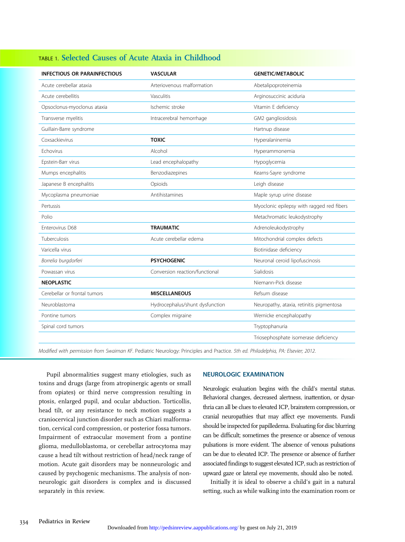| <b>INFECTIOUS OR PARAINFECTIOUS</b> | <b>VASCULAR</b>                 | <b>GENETIC/METABOLIC</b>                  |
|-------------------------------------|---------------------------------|-------------------------------------------|
| Acute cerebellar ataxia             | Arteriovenous malformation      | Abetalipoproteinemia                      |
| Acute cerebellitis                  | Vasculitis                      | Arginosuccinic aciduria                   |
| Opsoclonus-myoclonus ataxia         | Ischemic stroke                 | Vitamin E deficiency                      |
| Transverse myelitis                 | Intracerebral hemorrhage        | GM2 gangliosidosis                        |
| Guillain-Barre syndrome             |                                 | Hartnup disease                           |
| Coxsackievirus                      | <b>TOXIC</b>                    | Hyperalaninemia                           |
| Fchovirus                           | Alcohol                         | Hyperammonemia                            |
| Epstein-Barr virus                  | Lead encephalopathy             | Hypoglycemia                              |
| Mumps encephalitis                  | Benzodiazepines                 | Kearns-Sayre syndrome                     |
| Japanese B encephalitis             | Opioids                         | Leigh disease                             |
| Mycoplasma pneumoniae               | Antihistamines                  | Maple syrup urine disease                 |
| Pertussis                           |                                 | Myoclonic epilepsy with ragged red fibers |
| Polio                               |                                 | Metachromatic leukodystrophy              |
| Enterovirus D68                     | <b>TRAUMATIC</b>                | Adrenoleukodystrophy                      |
| Tuberculosis                        | Acute cerebellar edema          | Mitochondrial complex defects             |
| Varicella virus                     |                                 | Biotinidase deficiency                    |
| Borrelia burgdorferi                | <b>PSYCHOGENIC</b>              | Neuronal ceroid lipofuscinosis            |
| Powassan virus                      | Conversion reaction/functional  | Sialidosis                                |
| <b>NEOPLASTIC</b>                   |                                 | Niemann-Pick disease                      |
| Cerebellar or frontal tumors        | <b>MISCELLANEOUS</b>            | Refsum disease                            |
| Neuroblastoma                       | Hydrocephalus/shunt dysfunction | Neuropathy, ataxia, retinitis pigmentosa  |
| Pontine tumors                      | Complex migraine                | Wernicke encephalopathy                   |
| Spinal cord tumors                  |                                 | Tryptophanuria                            |
|                                     |                                 | Triosephosphate isomerase deficiency      |

## TABLE 1. Selected Causes of Acute Ataxia in Childhood

Modified with permission from Swaiman KF. Pediatric Neurology: Principles and Practice. 5th ed. Philadelphia, PA: Elsevier; 2012.

Pupil abnormalities suggest many etiologies, such as toxins and drugs (large from atropinergic agents or small from opiates) or third nerve compression resulting in ptosis, enlarged pupil, and ocular abduction. Torticollis, head tilt, or any resistance to neck motion suggests a craniocervical junction disorder such as Chiari malformation, cervical cord compression, or posterior fossa tumors. Impairment of extraocular movement from a pontine glioma, medulloblastoma, or cerebellar astrocytoma may cause a head tilt without restriction of head/neck range of motion. Acute gait disorders may be nonneurologic and caused by psychogenic mechanisms. The analysis of nonneurologic gait disorders is complex and is discussed separately in this review.

## NEUROLOGIC EXAMINATION

Neurologic evaluation begins with the child's mental status. Behavioral changes, decreased alertness, inattention, or dysarthria can all be clues to elevated ICP, brainstem compression, or cranial neuropathies that may affect eye movements. Fundi should be inspected for papilledema. Evaluating for disc blurring can be difficult; sometimes the presence or absence of venous pulsations is more evident. The absence of venous pulsations can be due to elevated ICP. The presence or absence of further associated findings to suggest elevated ICP, such as restriction of upward gaze or lateral eye movements, should also be noted.

Initially it is ideal to observe a child's gait in a natural setting, such as while walking into the examination room or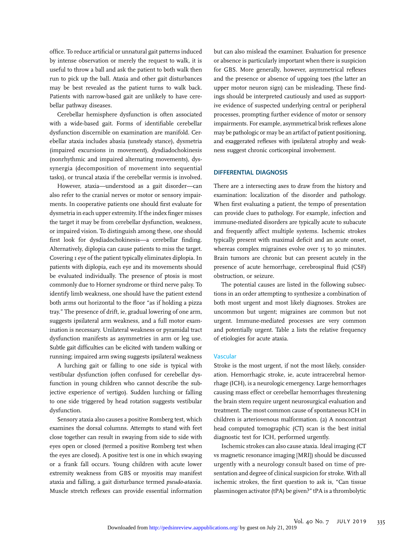office. To reduce artificial or unnatural gait patterns induced by intense observation or merely the request to walk, it is useful to throw a ball and ask the patient to both walk then run to pick up the ball. Ataxia and other gait disturbances may be best revealed as the patient turns to walk back. Patients with narrow-based gait are unlikely to have cerebellar pathway diseases.

Cerebellar hemisphere dysfunction is often associated with a wide-based gait. Forms of identifiable cerebellar dysfunction discernible on examination are manifold. Cerebellar ataxia includes abasia (unsteady stance), dysmetria (impaired excursions in movement), dysdiadochokinesis (nonrhythmic and impaired alternating movements), dyssynergia (decomposition of movement into sequential tasks), or truncal ataxia if the cerebellar vermis is involved.

However, ataxia—understood as a gait disorder—can also refer to the cranial nerves or motor or sensory impairments. In cooperative patients one should first evaluate for dysmetria in each upper extremity. If the index finger misses the target it may be from cerebellar dysfunction, weakness, or impaired vision. To distinguish among these, one should first look for dysdiadochokinesis—a cerebellar finding. Alternatively, diplopia can cause patients to miss the target. Covering 1 eye of the patient typically eliminates diplopia. In patients with diplopia, each eye and its movements should be evaluated individually. The presence of ptosis is most commonly due to Horner syndrome or third nerve palsy. To identify limb weakness, one should have the patient extend both arms out horizontal to the floor "as if holding a pizza tray." The presence of drift, ie, gradual lowering of one arm, suggests ipsilateral arm weakness, and a full motor examination is necessary. Unilateral weakness or pyramidal tract dysfunction manifests as asymmetries in arm or leg use. Subtle gait difficulties can be elicited with tandem walking or running; impaired arm swing suggests ipsilateral weakness

A lurching gait or falling to one side is typical with vestibular dysfunction (often confused for cerebellar dysfunction in young children who cannot describe the subjective experience of vertigo). Sudden lurching or falling to one side triggered by head rotation suggests vestibular dysfunction.

Sensory ataxia also causes a positive Romberg test, which examines the dorsal columns. Attempts to stand with feet close together can result in swaying from side to side with eyes open or closed (termed a positive Romberg test when the eyes are closed). A positive test is one in which swaying or a frank fall occurs. Young children with acute lower extremity weakness from GBS or myositis may manifest ataxia and falling, a gait disturbance termed pseudo-ataxia. Muscle stretch reflexes can provide essential information

but can also mislead the examiner. Evaluation for presence or absence is particularly important when there is suspicion for GBS. More generally, however, asymmetrical reflexes and the presence or absence of upgoing toes (the latter an upper motor neuron sign) can be misleading. These findings should be interpreted cautiously and used as supportive evidence of suspected underlying central or peripheral processes, prompting further evidence of motor or sensory impairments. For example, asymmetrical brisk reflexes alone may be pathologic or may be an artifact of patient positioning, and exaggerated reflexes with ipsilateral atrophy and weakness suggest chronic corticospinal involvement.

## DIFFERENTIAL DIAGNOSIS

There are 2 intersecting axes to draw from the history and examination: localization of the disorder and pathology. When first evaluating a patient, the tempo of presentation can provide clues to pathology. For example, infection and immune-mediated disorders are typically acute to subacute and frequently affect multiple systems. Ischemic strokes typically present with maximal deficit and an acute onset, whereas complex migraines evolve over 15 to 30 minutes. Brain tumors are chronic but can present acutely in the presence of acute hemorrhage, cerebrospinal fluid (CSF) obstruction, or seizure.

The potential causes are listed in the following subsections in an order attempting to synthesize a combination of both most urgent and most likely diagnoses. Strokes are uncommon but urgent; migraines are common but not urgent. Immune-mediated processes are very common and potentially urgent. Table 2 lists the relative frequency of etiologies for acute ataxia.

### Vascular

Stroke is the most urgent, if not the most likely, consideration. Hemorrhagic stroke, ie, acute intracerebral hemorrhage (ICH), is a neurologic emergency. Large hemorrhages causing mass effect or cerebellar hemorrhages threatening the brain stem require urgent neurosurgical evaluation and treatment. The most common cause of spontaneous ICH in children is arteriovenous malformation. (2) A noncontrast head computed tomographic (CT) scan is the best initial diagnostic test for ICH, performed urgently.

Ischemic strokes can also cause ataxia. Ideal imaging (CT vs magnetic resonance imaging [MRI]) should be discussed urgently with a neurology consult based on time of presentation and degree of clinical suspicion for stroke. With all ischemic strokes, the first question to ask is, "Can tissue plasminogen activator (tPA) be given?" tPA is a thrombolytic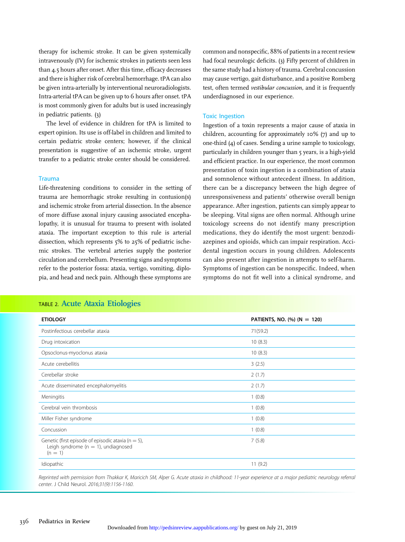therapy for ischemic stroke. It can be given systemically intravenously (IV) for ischemic strokes in patients seen less than 4.5 hours after onset. After this time, efficacy decreases and there is higher risk of cerebral hemorrhage. tPA can also be given intra-arterially by interventional neuroradiologists. Intra-arterial tPA can be given up to 6 hours after onset. tPA is most commonly given for adults but is used increasingly in pediatric patients. (3)

The level of evidence in children for tPA is limited to expert opinion. Its use is off-label in children and limited to certain pediatric stroke centers; however, if the clinical presentation is suggestive of an ischemic stroke, urgent transfer to a pediatric stroke center should be considered.

## Trauma

Life-threatening conditions to consider in the setting of trauma are hemorrhagic stroke resulting in contusion(s) and ischemic stroke from arterial dissection. In the absence of more diffuse axonal injury causing associated encephalopathy, it is unusual for trauma to present with isolated ataxia. The important exception to this rule is arterial dissection, which represents 5% to 25% of pediatric ischemic strokes. The vertebral arteries supply the posterior circulation and cerebellum. Presenting signs and symptoms refer to the posterior fossa: ataxia, vertigo, vomiting, diplopia, and head and neck pain. Although these symptoms are

# Toxic Ingestion Ingestion of a toxin represents a major cause of ataxia in children, accounting for approximately 10% (7) and up to one-third (4) of cases. Sending a urine sample to toxicology,

particularly in children younger than 5 years, is a high-yield and efficient practice. In our experience, the most common presentation of toxin ingestion is a combination of ataxia and somnolence without antecedent illness. In addition, there can be a discrepancy between the high degree of unresponsiveness and patients' otherwise overall benign appearance. After ingestion, patients can simply appear to be sleeping. Vital signs are often normal. Although urine toxicology screens do not identify many prescription medications, they do identify the most urgent: benzodiazepines and opioids, which can impair respiration. Accidental ingestion occurs in young children. Adolescents can also present after ingestion in attempts to self-harm. Symptoms of ingestion can be nonspecific. Indeed, when symptoms do not fit well into a clinical syndrome, and

common and nonspecific, 88% of patients in a recent review had focal neurologic deficits. (3) Fifty percent of children in the same study had a history of trauma. Cerebral concussion may cause vertigo, gait disturbance, and a positive Romberg test, often termed vestibular concussion, and it is frequently

underdiagnosed in our experience.

| <b>ETIOLOGY</b>                                                                                                | PATIENTS, NO. $\frac{1}{2}$ (N = 120) |
|----------------------------------------------------------------------------------------------------------------|---------------------------------------|
| Postinfectious cerebellar ataxia                                                                               | 71(59.2)                              |
| Drug intoxication                                                                                              | 10(8.3)                               |
| Opsoclonus-myoclonus ataxia                                                                                    | 10(8.3)                               |
| Acute cerebellitis                                                                                             | 3(2.5)                                |
| Cerebellar stroke                                                                                              | 2(1.7)                                |
| Acute disseminated encephalomyelitis                                                                           | 2(1.7)                                |
| Meningitis                                                                                                     | 1(0.8)                                |
| Cerebral vein thrombosis                                                                                       | 1(0.8)                                |
| Miller Fisher syndrome                                                                                         | 1(0.8)                                |
| Concussion                                                                                                     | 1(0.8)                                |
| Genetic (first episode of episodic ataxia ( $n = 5$ ),<br>Leigh syndrome ( $n = 1$ ), undiagnosed<br>$(n = 1)$ | 7(5.8)                                |
| Idiopathic                                                                                                     | 11(9.2)                               |

## Reprinted with permission from Thakkar K, Maricich SM, Alper G. Acute ataxia in childhood: 11-year experience at a major pediatric neurology referral center. J Child Neurol. 2016;31(9):1156-1160.

## TABLE 2. Acute Ataxia Etiologies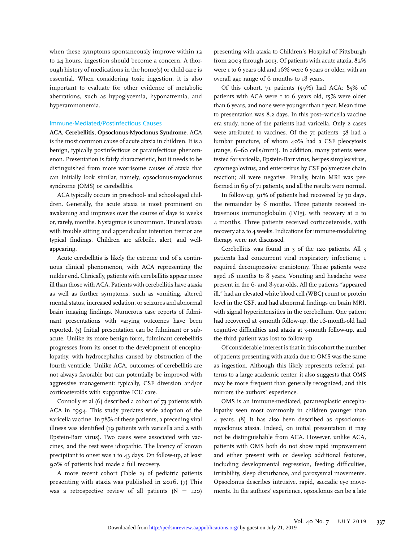when these symptoms spontaneously improve within 12 to 24 hours, ingestion should become a concern. A thorough history of medications in the home(s) or child care is essential. When considering toxic ingestion, it is also important to evaluate for other evidence of metabolic aberrations, such as hypoglycemia, hyponatremia, and hyperammonemia.

### Immune-Mediated/Postinfectious Causes

ACA, Cerebellitis, Opsoclonus-Myoclonus Syndrome. ACA is the most common cause of acute ataxia in children. It is a benign, typically postinfectious or parainfectious phenomenon. Presentation is fairly characteristic, but it needs to be distinguished from more worrisome causes of ataxia that can initially look similar, namely, opsoclonus-myoclonus syndrome (OMS) or cerebellitis.

ACA typically occurs in preschool- and school-aged children. Generally, the acute ataxia is most prominent on awakening and improves over the course of days to weeks or, rarely, months. Nystagmus is uncommon. Truncal ataxia with trouble sitting and appendicular intention tremor are typical findings. Children are afebrile, alert, and wellappearing.

Acute cerebellitis is likely the extreme end of a continuous clinical phenomenon, with ACA representing the milder end. Clinically, patients with cerebellitis appear more ill than those with ACA. Patients with cerebellitis have ataxia as well as further symptoms, such as vomiting, altered mental status, increased sedation, or seizures and abnormal brain imaging findings. Numerous case reports of fulminant presentations with varying outcomes have been reported. (5) Initial presentation can be fulminant or subacute. Unlike its more benign form, fulminant cerebellitis progresses from its onset to the development of encephalopathy, with hydrocephalus caused by obstruction of the fourth ventricle. Unlike ACA, outcomes of cerebellitis are not always favorable but can potentially be improved with aggressive management: typically, CSF diversion and/or corticosteroids with supportive ICU care.

Connolly et al (6) described a cohort of 73 patients with ACA in 1994. This study predates wide adoption of the varicella vaccine. In 78% of these patients, a preceding viral illness was identified (19 patients with varicella and 2 with Epstein-Barr virus). Two cases were associated with vaccines, and the rest were idiopathic. The latency of known precipitant to onset was 1 to 43 days. On follow-up, at least 90% of patients had made a full recovery.

A more recent cohort (Table 2) of pediatric patients presenting with ataxia was published in 2016. (7) This was a retrospective review of all patients  $(N = 120)$  presenting with ataxia to Children's Hospital of Pittsburgh from 2003 through 2013. Of patients with acute ataxia, 82% were 1 to 6 years old and 16% were 6 years or older, with an overall age range of 6 months to 18 years.

Of this cohort, 71 patients (59%) had ACA; 85% of patients with ACA were 1 to 6 years old, 15% were older than 6 years, and none were younger than I year. Mean time to presentation was 8.2 days. In this post–varicella vaccine era study, none of the patients had varicella. Only 2 cases were attributed to vaccines. Of the 71 patients, 58 had a lumbar puncture, of whom 40% had a CSF pleocytosis (range, 6–60 cells/mm<sup>3</sup> ). In addition, many patients were tested for varicella, Epstein-Barr virus, herpes simplex virus, cytomegalovirus, and enterovirus by CSF polymerase chain reaction; all were negative. Finally, brain MRI was performed in 69 of 71 patients, and all the results were normal.

In follow-up, 91% of patients had recovered by 30 days, the remainder by 6 months. Three patients received intravenous immunoglobulin (IVIg), with recovery at 2 to 4 months. Three patients received corticosteroids, with recovery at 2 to 4 weeks. Indications for immune-modulating therapy were not discussed.

Cerebellitis was found in 3 of the 120 patients. All 3 patients had concurrent viral respiratory infections; 1 required decompressive craniotomy. These patients were aged 16 months to 8 years. Vomiting and headache were present in the 6- and 8-year-olds. All the patients "appeared ill," had an elevated white blood cell (WBC) count or protein level in the CSF, and had abnormal findings on brain MRI, with signal hyperintensities in the cerebellum. One patient had recovered at 3-month follow-up, the 16-month-old had cognitive difficulties and ataxia at 3-month follow-up, and the third patient was lost to follow-up.

Of considerable interest is that in this cohort the number of patients presenting with ataxia due to OMS was the same as ingestion. Although this likely represents referral patterns to a large academic center, it also suggests that OMS may be more frequent than generally recognized, and this mirrors the authors' experience.

OMS is an immune-mediated, paraneoplastic encephalopathy seen most commonly in children younger than 4 years. (8) It has also been described as opsoclonusmyoclonus ataxia. Indeed, on initial presentation it may not be distinguishable from ACA. However, unlike ACA, patients with OMS both do not show rapid improvement and either present with or develop additional features, including developmental regression, feeding difficulties, irritability, sleep disturbance, and paroxysmal movements. Opsoclonus describes intrusive, rapid, saccadic eye movements. In the authors' experience, opsoclonus can be a late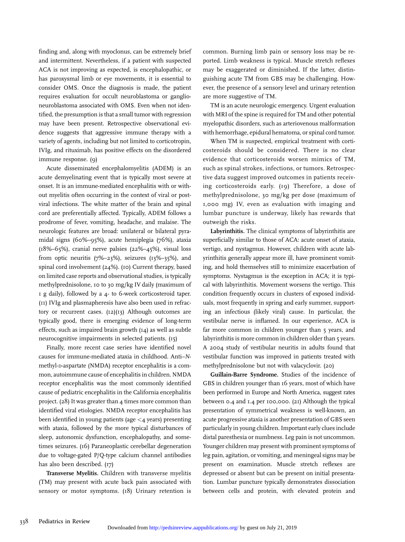finding and, along with myoclonus, can be extremely brief and intermittent. Nevertheless, if a patient with suspected ACA is not improving as expected, is encephalopathic, or has paroxysmal limb or eye movements, it is essential to consider OMS. Once the diagnosis is made, the patient requires evaluation for occult neuroblastoma or ganglioneuroblastoma associated with OMS. Even when not identified, the presumption is that a small tumor with regression may have been present. Retrospective observational evidence suggests that aggressive immune therapy with a variety of agents, including but not limited to corticotropin, IVIg, and rituximab, has positive effects on the disordered immune response. (9)

Acute disseminated encephalomyelitis (ADEM) is an acute demyelinating event that is typically most severe at onset. It is an immune-mediated encephalitis with or without myelitis often occurring in the context of viral or postviral infections. The white matter of the brain and spinal cord are preferentially affected. Typically, ADEM follows a prodrome of fever, vomiting, headache, and malaise. The neurologic features are broad: unilateral or bilateral pyramidal signs (60%–95%), acute hemiplegia (76%), ataxia  $(18\%–65\%)$ , cranial nerve palsies  $(22\%–45\%)$ , visual loss from optic neuritis (7%–23%), seizures (13%–35%), and spinal cord involvement (24%). (10) Current therapy, based on limited case reports and observational studies, is typically methylprednisolone, 10 to 30 mg/kg IV daily (maximum of 1 g daily), followed by a 4- to 6-week corticosteroid taper. (11) IVIg and plasmapheresis have also been used in refractory or recurrent cases.  $(I2)(I3)$  Although outcomes are typically good, there is emerging evidence of long-term effects, such as impaired brain growth (14) as well as subtle neurocognitive impairments in selected patients. (15)

Finally, more recent case series have identified novel causes for immune-mediated ataxia in childhood. Anti–Nmethyl-D-aspartate (NMDA) receptor encephalitis is a common, autoimmune cause of encephalitis in children. NMDA receptor encephalitis was the most commonly identified cause of pediatric encephalitis in the California encephalitis project. (28) It was greater than 4 times more common than identified viral etiologies. NMDA receptor encephalitis has been identified in young patients (age  $\lt$  4 years) presenting with ataxia, followed by the more typical disturbances of sleep, autonomic dysfunction, encephalopathy, and sometimes seizures. (16) Paraneoplastic cerebellar degeneration due to voltage-gated P/Q-type calcium channel antibodies has also been described. (17)

Transverse Myelitis. Children with transverse myelitis (TM) may present with acute back pain associated with sensory or motor symptoms. (18) Urinary retention is common. Burning limb pain or sensory loss may be reported. Limb weakness is typical. Muscle stretch reflexes may be exaggerated or diminished. If the latter, distinguishing acute TM from GBS may be challenging. However, the presence of a sensory level and urinary retention are more suggestive of TM.

TM is an acute neurologic emergency. Urgent evaluation with MRI of the spine is required for TM and other potential myelopathic disorders, such as arteriovenous malformation with hemorrhage, epidural hematoma, or spinal cord tumor.

When TM is suspected, empirical treatment with corticosteroids should be considered. There is no clear evidence that corticosteroids worsen mimics of TM, such as spinal strokes, infections, or tumors. Retrospective data suggest improved outcomes in patients receiving corticosteroids early. (19) Therefore, a dose of methylprednisolone, 30 mg/kg per dose (maximum of 1,000 mg) IV, even as evaluation with imaging and lumbar puncture is underway, likely has rewards that outweigh the risks.

Labyrinthitis. The clinical symptoms of labyrinthitis are superficially similar to those of ACA: acute onset of ataxia, vertigo, and nystagmus. However, children with acute labyrinthitis generally appear more ill, have prominent vomiting, and hold themselves still to minimize exacerbation of symptoms. Nystagmus is the exception in ACA; it is typical with labyrinthitis. Movement worsens the vertigo. This condition frequently occurs in clusters of exposed individuals, most frequently in spring and early summer, supporting an infectious (likely viral) cause. In particular, the vestibular nerve is inflamed. In our experience, ACA is far more common in children younger than 5 years, and labyrinthitis is more common in children older than 5 years. A 2004 study of vestibular neuritis in adults found that vestibular function was improved in patients treated with methylprednisolone but not with valacyclovir. (20)

Guillain-Barre Syndrome. Studies of the incidence of GBS in children younger than 16 years, most of which have been performed in Europe and North America, suggest rates between 0.4 and 1.4 per 100,000. (21) Although the typical presentation of symmetrical weakness is well-known, an acute progressive ataxia is another presentation of GBS seen particularly in young children. Important early clues include distal paresthesia or numbness. Leg pain is not uncommon. Younger children may present with prominent symptoms of leg pain, agitation, or vomiting, and meningeal signs may be present on examination. Muscle stretch reflexes are depressed or absent but can be present on initial presentation. Lumbar puncture typically demonstrates dissociation between cells and protein, with elevated protein and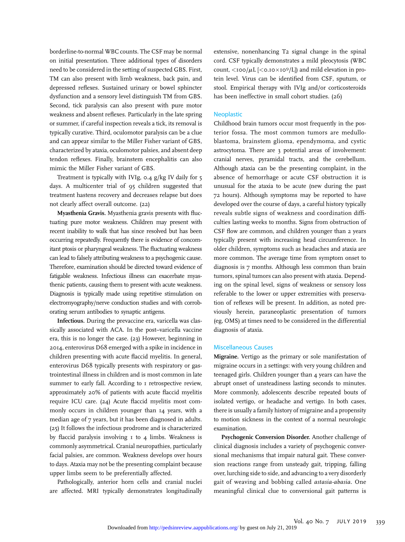borderline-to-normal WBC counts. The CSF may be normal on initial presentation. Three additional types of disorders need to be considered in the setting of suspected GBS. First, TM can also present with limb weakness, back pain, and depressed reflexes. Sustained urinary or bowel sphincter dysfunction and a sensory level distinguish TM from GBS. Second, tick paralysis can also present with pure motor weakness and absent reflexes. Particularly in the late spring or summer, if careful inspection reveals a tick, its removal is typically curative. Third, oculomotor paralysis can be a clue and can appear similar to the Miller Fisher variant of GBS, characterized by ataxia, oculomotor palsies, and absent deep tendon reflexes. Finally, brainstem encephalitis can also mimic the Miller Fisher variant of GBS.

Treatment is typically with IVIg, 0.4 g/kg IV daily for 5 days. A multicenter trial of 95 children suggested that treatment hastens recovery and decreases relapse but does not clearly affect overall outcome. (22)

Myasthenia Gravis. Myasthenia gravis presents with fluctuating pure motor weakness. Children may present with recent inability to walk that has since resolved but has been occurring repeatedly. Frequently there is evidence of concomitant ptosis or pharyngeal weakness. The fluctuating weakness can lead to falsely attributing weakness to a psychogenic cause. Therefore, examination should be directed toward evidence of fatigable weakness. Infectious illness can exacerbate myasthenic patients, causing them to present with acute weakness. Diagnosis is typically made using repetitive stimulation on electromyography/nerve conduction studies and with corroborating serum antibodies to synaptic antigens.

Infectious. During the prevaccine era, varicella was classically associated with ACA. In the post–varicella vaccine era, this is no longer the case. (23) However, beginning in 2014, enterovirus D68 emerged with a spike in incidence in children presenting with acute flaccid myelitis. In general, enterovirus D68 typically presents with respiratory or gastrointestinal illness in children and is most common in late summer to early fall. According to I retrospective review, approximately 20% of patients with acute flaccid myelitis require ICU care. (24) Acute flaccid myelitis most commonly occurs in children younger than 14 years, with a median age of 7 years, but it has been diagnosed in adults. (25) It follows the infectious prodrome and is characterized by flaccid paralysis involving 1 to 4 limbs. Weakness is commonly asymmetrical. Cranial neuropathies, particularly facial palsies, are common. Weakness develops over hours to days. Ataxia may not be the presenting complaint because upper limbs seem to be preferentially affected.

Pathologically, anterior horn cells and cranial nuclei are affected. MRI typically demonstrates longitudinally

extensive, nonenhancing T2 signal change in the spinal cord. CSF typically demonstrates a mild pleocytosis (WBC  $count, <100/\mu L$  [ $<$ 0.10 $\times$ 10 $9/L$ ]) and mild elevation in protein level. Virus can be identified from CSF, sputum, or stool. Empirical therapy with IVIg and/or corticosteroids has been ineffective in small cohort studies. (26)

#### **Neoplastic**

Childhood brain tumors occur most frequently in the posterior fossa. The most common tumors are medulloblastoma, brainstem glioma, ependymoma, and cystic astrocytoma. There are 3 potential areas of involvement: cranial nerves, pyramidal tracts, and the cerebellum. Although ataxia can be the presenting complaint, in the absence of hemorrhage or acute CSF obstruction it is unusual for the ataxia to be acute (new during the past 72 hours). Although symptoms may be reported to have developed over the course of days, a careful history typically reveals subtle signs of weakness and coordination difficulties lasting weeks to months. Signs from obstruction of CSF flow are common, and children younger than 2 years typically present with increasing head circumference. In older children, symptoms such as headaches and ataxia are more common. The average time from symptom onset to diagnosis is 7 months. Although less common than brain tumors, spinal tumors can also present with ataxia. Depending on the spinal level, signs of weakness or sensory loss referable to the lower or upper extremities with preservation of reflexes will be present. In addition, as noted previously herein, paraneoplastic presentation of tumors (eg, OMS) at times need to be considered in the differential diagnosis of ataxia.

## Miscellaneous Causes

Migraine. Vertigo as the primary or sole manifestation of migraine occurs in 2 settings: with very young children and teenaged girls. Children younger than 4 years can have the abrupt onset of unsteadiness lasting seconds to minutes. More commonly, adolescents describe repeated bouts of isolated vertigo, or headache and vertigo. In both cases, there is usually a family history of migraine and a propensity to motion sickness in the context of a normal neurologic examination.

Psychogenic Conversion Disorder. Another challenge of clinical diagnosis includes a variety of psychogenic conversional mechanisms that impair natural gait. These conversion reactions range from unsteady gait, tripping, falling over, lurching side to side, and advancing to a very disorderly gait of weaving and bobbing called astasia-abasia. One meaningful clinical clue to conversional gait patterns is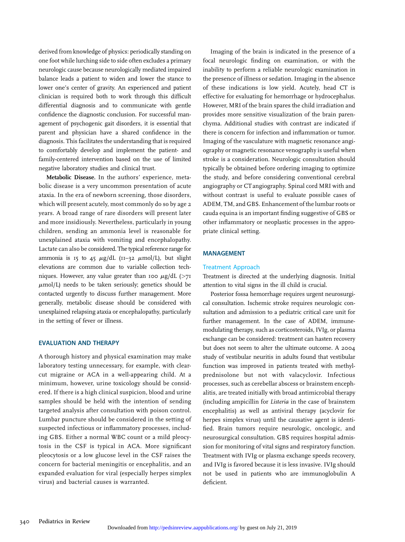derived from knowledge of physics: periodically standing on one foot while lurching side to side often excludes a primary neurologic cause because neurologically mediated impaired balance leads a patient to widen and lower the stance to lower one's center of gravity. An experienced and patient clinician is required both to work through this difficult differential diagnosis and to communicate with gentle confidence the diagnostic conclusion. For successful management of psychogenic gait disorders, it is essential that parent and physician have a shared confidence in the diagnosis. This facilitates the understanding that is required to comfortably develop and implement the patient- and family-centered intervention based on the use of limited negative laboratory studies and clinical trust.

Metabolic Disease. In the authors' experience, metabolic disease is a very uncommon presentation of acute ataxia. In the era of newborn screening, those disorders, which will present acutely, most commonly do so by age 2 years. A broad range of rare disorders will present later and more insidiously. Nevertheless, particularly in young children, sending an ammonia level is reasonable for unexplained ataxia with vomiting and encephalopathy. Lactate can also be considered. The typical reference range for ammonia is 15 to 45  $\mu$ g/dL (11–32  $\mu$ mol/L), but slight elevations are common due to variable collection techniques. However, any value greater than 100  $\mu$ g/dL (>71  $\mu$ mol/L) needs to be taken seriously; genetics should be contacted urgently to discuss further management. More generally, metabolic disease should be considered with unexplained relapsing ataxia or encephalopathy, particularly in the setting of fever or illness.

## EVALUATION AND THERAPY

A thorough history and physical examination may make laboratory testing unnecessary, for example, with clearcut migraine or ACA in a well-appearing child. At a minimum, however, urine toxicology should be considered. If there is a high clinical suspicion, blood and urine samples should be held with the intention of sending targeted analysis after consultation with poison control. Lumbar puncture should be considered in the setting of suspected infectious or inflammatory processes, including GBS. Either a normal WBC count or a mild pleocytosis in the CSF is typical in ACA. More significant pleocytosis or a low glucose level in the CSF raises the concern for bacterial meningitis or encephalitis, and an expanded evaluation for viral (especially herpes simplex virus) and bacterial causes is warranted.

Imaging of the brain is indicated in the presence of a focal neurologic finding on examination, or with the inability to perform a reliable neurologic examination in the presence of illness or sedation. Imaging in the absence of these indications is low yield. Acutely, head CT is effective for evaluating for hemorrhage or hydrocephalus. However, MRI of the brain spares the child irradiation and provides more sensitive visualization of the brain parenchyma. Additional studies with contrast are indicated if there is concern for infection and inflammation or tumor. Imaging of the vasculature with magnetic resonance angiography or magnetic resonance venography is useful when stroke is a consideration. Neurologic consultation should typically be obtained before ordering imaging to optimize the study, and before considering conventional cerebral angiography or CT angiography. Spinal cord MRI with and without contrast is useful to evaluate possible cases of ADEM, TM, and GBS. Enhancement of the lumbar roots or cauda equina is an important finding suggestive of GBS or other inflammatory or neoplastic processes in the appropriate clinical setting.

### MANAGEMENT

## Treatment Approach

Treatment is directed at the underlying diagnosis. Initial attention to vital signs in the ill child is crucial.

Posterior fossa hemorrhage requires urgent neurosurgical consultation. Ischemic stroke requires neurologic consultation and admission to a pediatric critical care unit for further management. In the case of ADEM, immunemodulating therapy, such as corticosteroids, IVIg, or plasma exchange can be considered: treatment can hasten recovery but does not seem to alter the ultimate outcome. A 2004 study of vestibular neuritis in adults found that vestibular function was improved in patients treated with methylprednisolone but not with valacyclovir. Infectious processes, such as cerebellar abscess or brainstem encephalitis, are treated initially with broad antimicrobial therapy (including ampicillin for Listeria in the case of brainstem encephalitis) as well as antiviral therapy (acyclovir for herpes simplex virus) until the causative agent is identified. Brain tumors require neurologic, oncologic, and neurosurgical consultation. GBS requires hospital admission for monitoring of vital signs and respiratory function. Treatment with IVIg or plasma exchange speeds recovery, and IVIg is favored because it is less invasive. IVIg should not be used in patients who are immunoglobulin A deficient.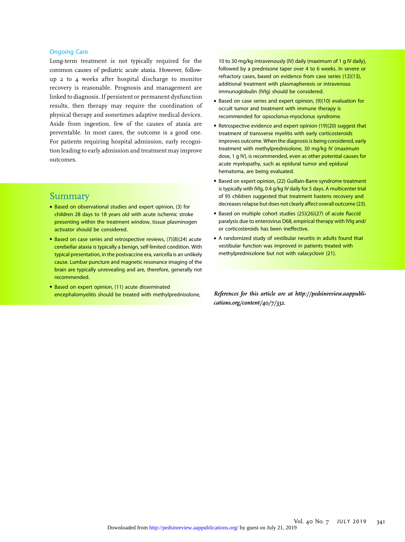## Ongoing Care

Long-term treatment is not typically required for the common causes of pediatric acute ataxia. However, followup 2 to 4 weeks after hospital discharge to monitor recovery is reasonable. Prognosis and management are linked to diagnosis. If persistent or permanent dysfunction results, then therapy may require the coordination of physical therapy and sometimes adaptive medical devices. Aside from ingestion, few of the causes of ataxia are preventable. In most cases, the outcome is a good one. For patients requiring hospital admission, early recognition leading to early admission and treatment may improve outcomes.

## Summary

- Based on observational studies and expert opinion, (3) for children 28 days to 18 years old with acute ischemic stroke presenting within the treatment window, tissue plasminogen activator should be considered.
- Based on case series and retrospective reviews, (7)(8)(24) acute cerebellar ataxia is typically a benign, self-limited condition. With typical presentation, in the postvaccine era, varicella is an unlikely cause. Lumbar puncture and magnetic resonance imaging of the brain are typically unrevealing and are, therefore, generally not recommended.
- Based on expert opinion, (11) acute disseminated encephalomyelitis should be treated with methylprednisolone,

10 to 30 mg/kg intravenously (IV) daily (maximum of 1 g IV daily), followed by a prednisone taper over 4 to 6 weeks. In severe or refractory cases, based on evidence from case series (12)(13), additional treatment with plasmapheresis or intravenous immunoglobulin (IVIg) should be considered.

- Based on case series and expert opinion, (9)(10) evaluation for occult tumor and treatment with immune therapy is recommended for opsoclonus-myoclonus syndrome.
- Retrospective evidence and expert opinion (19)(20) suggest that treatment of transverse myelitis with early corticosteroids improves outcome. When the diagnosis is being considered, early treatment with methylprednisolone, 30 mg/kg IV (maximum dose, 1 g IV), is recommended, even as other potential causes for acute myelopathy, such as epidural tumor and epidural hematoma, are being evaluated.
- Based on expert opinion, (22) Guillain-Barre syndrome treatment is typically with IVIg, 0.4 g/kg IV daily for 5 days. A multicenter trial of 95 children suggested that treatment hastens recovery and decreases relapse but does not clearly affect overall outcome (23).
- Based on multiple cohort studies (25)(26)(27) of acute flaccid paralysis due to enterovirus D68, empirical therapy with IVIg and/ or corticosteroids has been ineffective.
- A randomized study of vestibular neuritis in adults found that vestibular function was improved in patients treated with methylprednisolone but not with valacyclovir (21).

References for this article are at [http://pedsinreview.aappubli](http://pedsinreview.aappublications.org/content/40/7/332)[cations.org/content/40/7/332](http://pedsinreview.aappublications.org/content/40/7/332).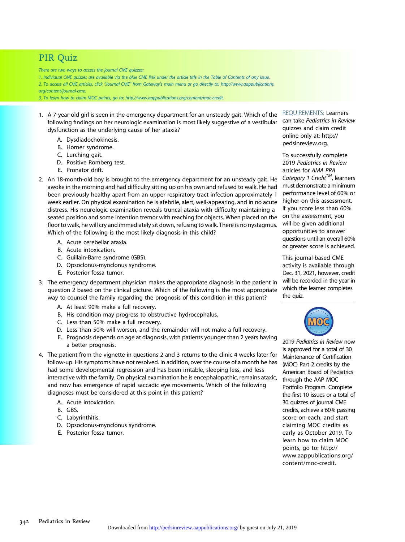# PIR Quiz

There are two ways to access the journal CME quizzes:

1. Individual CME quizzes are available via the blue CME link under the article title in the Table of Contents of any issue. 2. To access all CME articles, click "Journal CME" from Gateway's main menu or go directly to: [http://www.aappublications.](http://www.aappublications.org/content/journal-cme) [org/content/journal-cme.](http://www.aappublications.org/content/journal-cme)

3. To learn how to claim MOC points, go to: [http://www.aappublications.org/content/moc-credit.](http://www.aappublications.org/content/moc-credit)

- 1. A 7-year-old girl is seen in the emergency department for an unsteady gait. Which of the following findings on her neurologic examination is most likely suggestive of a vestibular dysfunction as the underlying cause of her ataxia?
	- A. Dysdiadochokinesis.
	- B. Horner syndrome.
	- C. Lurching gait.
	- D. Positive Romberg test.
	- E. Pronator drift.
- 2. An 18-month-old boy is brought to the emergency department for an unsteady gait. He awoke in the morning and had difficulty sitting up on his own and refused to walk. He had been previously healthy apart from an upper respiratory tract infection approximately 1 week earlier. On physical examination he is afebrile, alert, well-appearing, and in no acute distress. His neurologic examination reveals truncal ataxia with difficulty maintaining a seated position and some intention tremor with reaching for objects. When placed on the floor to walk, he will cry and immediately sit down, refusing to walk. There is no nystagmus. Which of the following is the most likely diagnosis in this child?
	- A. Acute cerebellar ataxia.
	- B. Acute intoxication.
	- C. Guillain-Barre syndrome (GBS).
	- D. Opsoclonus-myoclonus syndrome.
	- E. Posterior fossa tumor.
- 3. The emergency department physician makes the appropriate diagnosis in the patient in question 2 based on the clinical picture. Which of the following is the most appropriate way to counsel the family regarding the prognosis of this condition in this patient?
	- A. At least 90% make a full recovery.
	- B. His condition may progress to obstructive hydrocephalus.
	- C. Less than 50% make a full recovery.
	- D. Less than 50% will worsen, and the remainder will not make a full recovery.
	- E. Prognosis depends on age at diagnosis, with patients younger than 2 years having a better prognosis.
- 4. The patient from the vignette in questions 2 and 3 returns to the clinic 4 weeks later for follow-up. His symptoms have not resolved. In addition, over the course of a month he has had some developmental regression and has been irritable, sleeping less, and less interactive with the family. On physical examination he is encephalopathic, remains ataxic, and now has emergence of rapid saccadic eye movements. Which of the following diagnoses must be considered at this point in this patient?
	- A. Acute intoxication.
	- B. GBS.
	- C. Labyrinthitis.
	- D. Opsoclonus-myoclonus syndrome.
	- E. Posterior fossa tumor.

REQUIREMENTS: Learners can take Pediatrics in Review quizzes and claim credit online only at: [http://](http://pedsinreview.org)

[pedsinreview.org](http://pedsinreview.org).

To successfully complete 2019 Pediatrics in Review articles for AMA PRA Category 1 Credit<sup>TM</sup>, learners must demonstrate aminimum performance level of 60% or higher on this assessment. If you score less than 60% on the assessment, you will be given additional opportunities to answer questions until an overall 60% or greater score is achieved.

This journal-based CME activity is available through Dec. 31, 2021, however, credit will be recorded in the year in which the learner completes the quiz.



2019 Pediatrics in Review now is approved for a total of 30 Maintenance of Certification (MOC) Part 2 credits by the American Board of Pediatrics through the AAP MOC Portfolio Program. Complete the first 10 issues or a total of 30 quizzes of journal CME credits, achieve a 60% passing score on each, and start claiming MOC credits as early as October 2019. To learn how to claim MOC points, go to: [http://](http://www.aappublications.org/content/moc-credit) [www.aappublications.org/](http://www.aappublications.org/content/moc-credit) [content/moc-credit.](http://www.aappublications.org/content/moc-credit)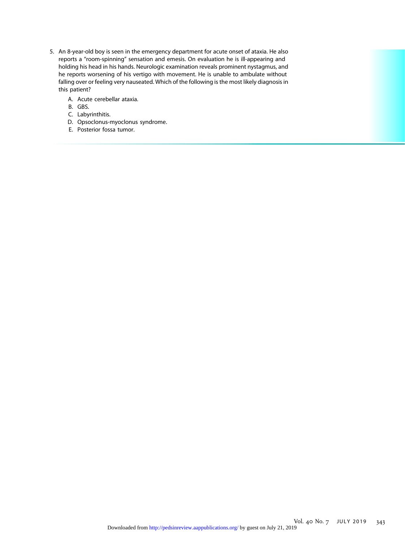- 5. An 8-year-old boy is seen in the emergency department for acute onset of ataxia. He also reports a "room-spinning" sensation and emesis. On evaluation he is ill-appearing and holding his head in his hands. Neurologic examination reveals prominent nystagmus, and he reports worsening of his vertigo with movement. He is unable to ambulate without falling over or feeling very nauseated. Which of the following is the most likely diagnosis in this patient?
	- A. Acute cerebellar ataxia.
	- B. GBS.
	- C. Labyrinthitis.
	- D. Opsoclonus-myoclonus syndrome.
	- E. Posterior fossa tumor.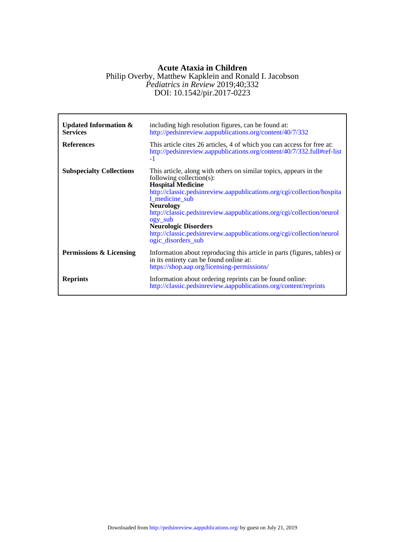## DOI: 10.1542/pir.2017-0223 *Pediatrics in Review* 2019;40;332 Philip Overby, Matthew Kapklein and Ronald I. Jacobson **Acute Ataxia in Children**

| <b>Updated Information &amp;</b><br><b>Services</b><br><b>References</b> | including high resolution figures, can be found at:<br>http://pedsinreview.aappublications.org/content/40/7/332<br>This article cites 26 articles, 4 of which you can access for free at:<br>http://pedsinreview.aappublications.org/content/40/7/332.full#ref-list<br>$-1$                                                                                                                                                                                 |
|--------------------------------------------------------------------------|-------------------------------------------------------------------------------------------------------------------------------------------------------------------------------------------------------------------------------------------------------------------------------------------------------------------------------------------------------------------------------------------------------------------------------------------------------------|
| <b>Subspecialty Collections</b>                                          | This article, along with others on similar topics, appears in the<br>following collection(s):<br><b>Hospital Medicine</b><br>http://classic.pedsinreview.aappublications.org/cgi/collection/hospita<br>1_medicine_sub<br><b>Neurology</b><br>http://classic.pedsinreview.aappublications.org/cgi/collection/neurol<br>ogy_sub<br><b>Neurologic Disorders</b><br>http://classic.pedsinreview.aappublications.org/cgi/collection/neurol<br>ogic_disorders_sub |
| Permissions & Licensing                                                  | Information about reproducing this article in parts (figures, tables) or<br>in its entirety can be found online at:<br>https://shop.aap.org/licensing-permissions/                                                                                                                                                                                                                                                                                          |
| <b>Reprints</b>                                                          | Information about ordering reprints can be found online:<br>http://classic.pedsinreview.aappublications.org/content/reprints                                                                                                                                                                                                                                                                                                                                |